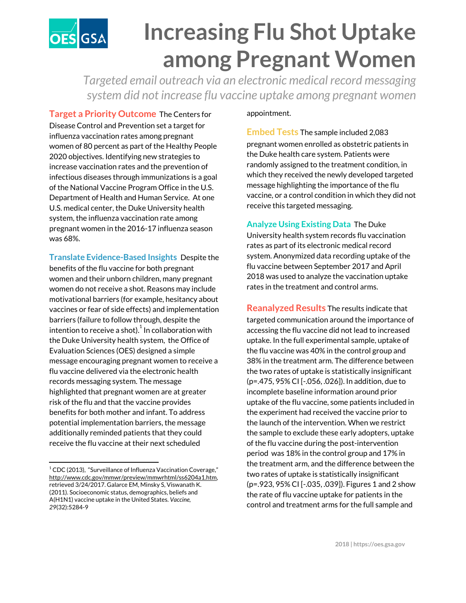## **Increasing Flu Shot Uptake OES**GSA **among Pregnant Women**

*Targeted email outreach via an electronic medical record messaging system did not increase flu vaccine uptake among pregnant women*

**Target a Priority Outcome** The Centers for Disease Control and Prevention set a target for influenza vaccination rates among pregnant women of 80 percent as part of the Healthy People 2020 objectives. Identifying new strategies to increase vaccination rates and the prevention of infectious diseases through immunizations is a goal of the National Vaccine Program Office in the U.S. Department of Health and Human Service. At one U.S. medical center, the Duke University health system, the influenza vaccination rate among pregnant women in the 2016-17 influenza season was 68%.

**Translate Evidence-Based Insights** Despite the benefits of the flu vaccine for both pregnant women and their unborn children, many pregnant women do not receive a shot. Reasons may include motivational barriers (for example, hesitancy about vaccines or fear of side effects) and implementation barriers (failure to follow through, despite the intention to receive a shot). $^1$  In collaboration with the Duke University health system, the Office of Evaluation Sciences (OES) designed a simple message encouraging pregnant women to receive a flu vaccine delivered via the electronic health records messaging system. The message highlighted that pregnant women are at greater risk of the flu and that the vaccine provides benefits for both mother and infant. To address potential implementation barriers, the message additionally reminded patients that they could receive the flu vaccine at their next scheduled

## appointment.

**Embed Tests** The sample included 2,083 pregnant women enrolled as obstetric patients in the Duke health care system. Patients were randomly assigned to the treatment condition, in which they received the newly developed targeted message highlighting the importance of the flu vaccine, or a control condition in which they did not receive this targeted messaging.

**Analyze Using Existing Data** The Duke University health system records flu vaccination rates as part of its electronic medical record system. Anonymized data recording uptake of the flu vaccine between September 2017 and April 2018 was used to analyze the vaccination uptake rates in the treatment and control arms.

**Reanalyzed Results** The results indicate that targeted communication around the importance of accessing the flu vaccine did not lead to increased uptake. In the full experimental sample, uptake of the flu vaccine was 40% in the control group and 38% in the treatment arm. The difference between the two rates of uptake is statistically insignificant (p=.475, 95% CI [-.056, .026]). In addition, due to incomplete baseline information around prior uptake of the flu vaccine, some patients included in the experiment had received the vaccine prior to the launch of the intervention. When we restrict the sample to exclude these early adopters, uptake of the flu vaccine during the post-intervention period was 18% in the control group and 17% in the treatment arm, and the difference between the two rates of uptake is statistically insignificant (p=.923, 95% CI [-.035, .039]). Figures 1 and 2 show the rate of flu vaccine uptake for patients in the control and treatment arms for the full sample and

 $1$  CDC (2013), "Surveillance of Influenza Vaccination Coverage," [http://www.cdc.gov/mmwr/preview/mmwrhtml/ss6204a1.htm,](http://www.cdc.gov/mmwr/preview/mmwrhtml/ss6204a1.htm) retrieved 3/24/2017. Galarce EM, Minsky S, Viswanath K. (2011). Socioeconomic status, demographics, beliefs and A(H1N1) vaccine uptake in the United States. *Vaccine, 29*(32):5284-9